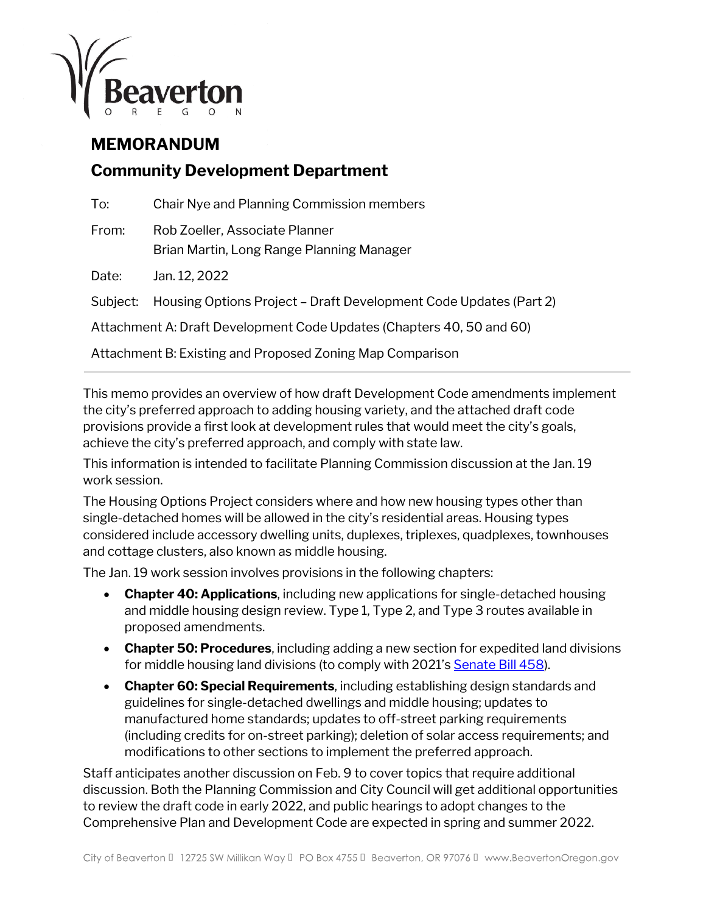

## **MEMORANDUM**

# **Community Development Department**

| To:                                                                   | Chair Nye and Planning Commission members                                   |
|-----------------------------------------------------------------------|-----------------------------------------------------------------------------|
| From:                                                                 | Rob Zoeller, Associate Planner<br>Brian Martin, Long Range Planning Manager |
| Date:                                                                 | Jan. 12, 2022                                                               |
| Subject:                                                              | Housing Options Project - Draft Development Code Updates (Part 2)           |
| Attachment A: Draft Development Code Updates (Chapters 40, 50 and 60) |                                                                             |
| Attachment B: Existing and Proposed Zoning Map Comparison             |                                                                             |

This memo provides an overview of how draft Development Code amendments implement the city's preferred approach to adding housing variety, and the attached draft code provisions provide a first look at development rules that would meet the city's goals, achieve the city's preferred approach, and comply with state law.

This information is intended to facilitate Planning Commission discussion at the Jan. 19 work session.

The Housing Options Project considers where and how new housing types other than single-detached homes will be allowed in the city's residential areas. Housing types considered include accessory dwelling units, duplexes, triplexes, quadplexes, townhouses and cottage clusters, also known as middle housing.

The Jan. 19 work session involves provisions in the following chapters:

- **Chapter 40: Applications**, including new applications for single-detached housing and middle housing design review. Type 1, Type 2, and Type 3 routes available in proposed amendments.
- **Chapter 50: Procedures**, including adding a new section for expedited land divisions for middle housing land divisions (to comply with 2021'[s Senate Bill 458\)](https://www.oregon.gov/lcd/UP/Documents/SB_458_Guidance.pdf).
- **Chapter 60: Special Requirements**, including establishing design standards and guidelines for single-detached dwellings and middle housing; updates to manufactured home standards; updates to off-street parking requirements (including credits for on-street parking); deletion of solar access requirements; and modifications to other sections to implement the preferred approach.

Staff anticipates another discussion on Feb. 9 to cover topics that require additional discussion. Both the Planning Commission and City Council will get additional opportunities to review the draft code in early 2022, and public hearings to adopt changes to the Comprehensive Plan and Development Code are expected in spring and summer 2022.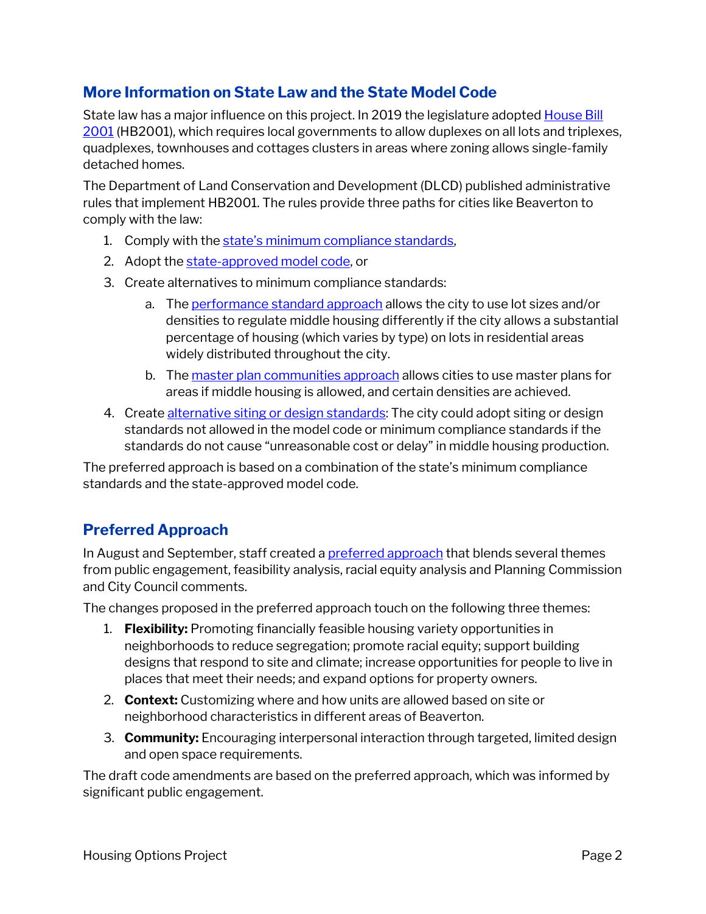## **More Information on State Law and the State Model Code**

State law has a major influence on this project. In 2019 the legislature adopted [House Bill](https://olis.oregonlegislature.gov/liz/2021R1/Downloads/MeasureDocument/HB2001/Enrolled)  [2001](https://olis.oregonlegislature.gov/liz/2021R1/Downloads/MeasureDocument/HB2001/Enrolled) (HB2001), which requires local governments to allow duplexes on all lots and triplexes, quadplexes, townhouses and cottages clusters in areas where zoning allows single-family detached homes.

The Department of Land Conservation and Development (DLCD) published administrative rules that implement HB2001. The rules provide three paths for cities like Beaverton to comply with the law:

- 1. Comply with the state's minimum compliance standards,
- 2. Adopt the [state-approved model code,](https://www.oregon.gov/lcd/UP/Documents/OAR660046%20EXHIBIT%20B%20-%20Large%20Cities%20Middle%20Housing%20Model%20Code%2020201209.pdf) or
- 3. Create alternatives to minimum compliance standards:
	- a. The [performance standard approach](https://secure.sos.state.or.us/oard/displayDivisionRules.action?selectedDivision=5988) allows the city to use lot sizes and/or densities to regulate middle housing differently if the city allows a substantial percentage of housing (which varies by type) on lots in residential areas widely distributed throughout the city.
	- b. The [master plan communities approach](https://secure.sos.state.or.us/oard/displayDivisionRules.action?selectedDivision=5988) allows cities to use master plans for areas if middle housing is allowed, and certain densities are achieved.
- 4. Create [alternative siting or design standards:](https://secure.sos.state.or.us/oard/displayDivisionRules.action?selectedDivision=5988) The city could adopt siting or design standards not allowed in the model code or minimum compliance standards if the standards do not cause "unreasonable cost or delay" in middle housing production.

The preferred approach is based on a combination of the state's minimum compliance standards and the state-approved model code.

## **Preferred Approach**

In August and September, staff created [a preferred approach](https://www.beavertonoregon.gov/DocumentCenter/View/32867/DraftPreferredApproach_20210920) that blends several themes from public engagement, feasibility analysis, racial equity analysis and Planning Commission and City Council comments.

The changes proposed in the preferred approach touch on the following three themes:

- 1. **Flexibility:** Promoting financially feasible housing variety opportunities in neighborhoods to reduce segregation; promote racial equity; support building designs that respond to site and climate; increase opportunities for people to live in places that meet their needs; and expand options for property owners.
- 2. **Context:** Customizing where and how units are allowed based on site or neighborhood characteristics in different areas of Beaverton.
- 3. **Community:** Encouraging interpersonal interaction through targeted, limited design and open space requirements.

The draft code amendments are based on the preferred approach, which was informed by significant public engagement.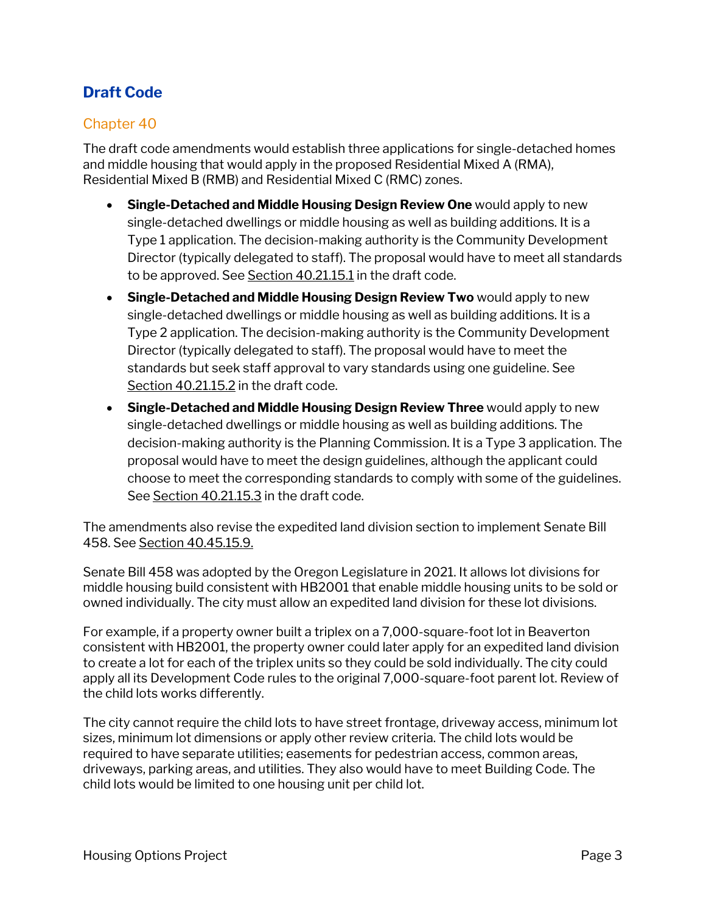# **Draft Code**

## Chapter 40

The draft code amendments would establish three applications for single-detached homes and middle housing that would apply in the proposed Residential Mixed A (RMA), Residential Mixed B (RMB) and Residential Mixed C (RMC) zones.

- **Single-Detached and Middle Housing Design Review One** would apply to new single-detached dwellings or middle housing as well as building additions. It is a Type 1 application. The decision-making authority is the Community Development Director (typically delegated to staff). The proposal would have to meet all standards to be approved. See Section 40.21.15.1 in the draft code.
- **Single-Detached and Middle Housing Design Review Two** would apply to new single-detached dwellings or middle housing as well as building additions. It is a Type 2 application. The decision-making authority is the Community Development Director (typically delegated to staff). The proposal would have to meet the standards but seek staff approval to vary standards using one guideline. See Section 40.21.15.2 in the draft code.
- **Single-Detached and Middle Housing Design Review Three** would apply to new single-detached dwellings or middle housing as well as building additions. The decision-making authority is the Planning Commission. It is a Type 3 application. The proposal would have to meet the design guidelines, although the applicant could choose to meet the corresponding standards to comply with some of the guidelines. See Section 40.21.15.3 in the draft code.

The amendments also revise the expedited land division section to implement Senate Bill 458. See Section 40.45.15.9.

Senate Bill 458 was adopted by the Oregon Legislature in 2021. It allows lot divisions for middle housing build consistent with HB2001 that enable middle housing units to be sold or owned individually. The city must allow an expedited land division for these lot divisions.

For example, if a property owner built a triplex on a 7,000-square-foot lot in Beaverton consistent with HB2001, the property owner could later apply for an expedited land division to create a lot for each of the triplex units so they could be sold individually. The city could apply all its Development Code rules to the original 7,000-square-foot parent lot. Review of the child lots works differently.

The city cannot require the child lots to have street frontage, driveway access, minimum lot sizes, minimum lot dimensions or apply other review criteria. The child lots would be required to have separate utilities; easements for pedestrian access, common areas, driveways, parking areas, and utilities. They also would have to meet Building Code. The child lots would be limited to one housing unit per child lot.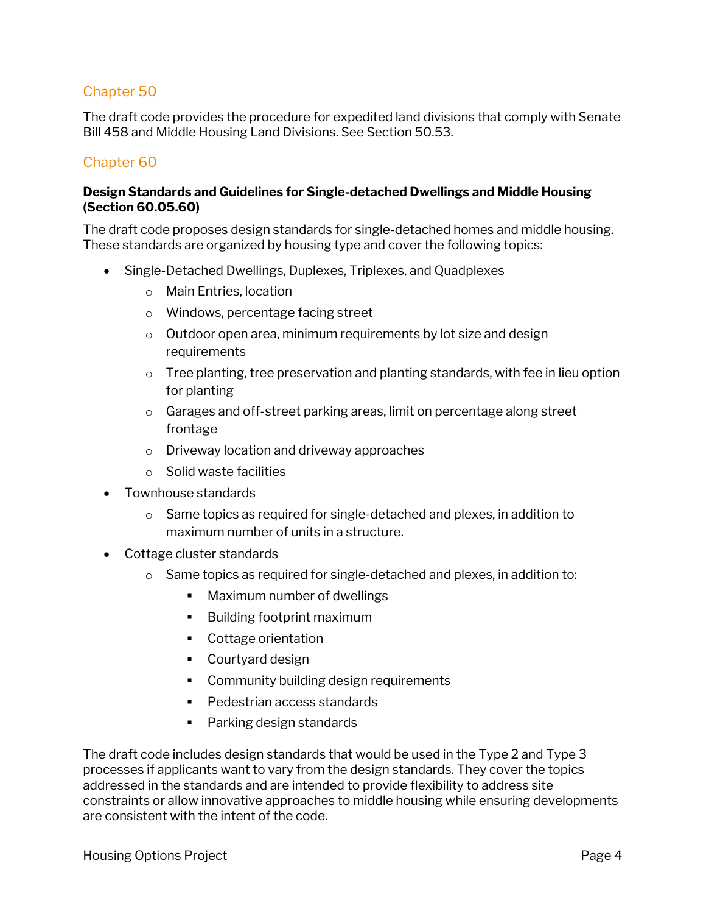## Chapter 50

The draft code provides the procedure for expedited land divisions that comply with Senate Bill 458 and Middle Housing Land Divisions. See Section 50.53.

## Chapter 60

#### **Design Standards and Guidelines for Single-detached Dwellings and Middle Housing (Section 60.05.60)**

The draft code proposes design standards for single-detached homes and middle housing. These standards are organized by housing type and cover the following topics:

- Single-Detached Dwellings, Duplexes, Triplexes, and Quadplexes
	- o Main Entries, location
	- o Windows, percentage facing street
	- $\circ$  Outdoor open area, minimum requirements by lot size and design requirements
	- $\circ$  Tree planting, tree preservation and planting standards, with fee in lieu option for planting
	- o Garages and off-street parking areas, limit on percentage along street frontage
	- o Driveway location and driveway approaches
	- o Solid waste facilities
- Townhouse standards
	- o Same topics as required for single-detached and plexes, in addition to maximum number of units in a structure.
- Cottage cluster standards
	- $\circ$  Same topics as required for single-detached and plexes, in addition to:
		- **Maximum number of dwellings**
		- **Building footprint maximum**
		- Cottage orientation
		- Courtyard design
		- Community building design requirements
		- Pedestrian access standards
		- Parking design standards

The draft code includes design standards that would be used in the Type 2 and Type 3 processes if applicants want to vary from the design standards. They cover the topics addressed in the standards and are intended to provide flexibility to address site constraints or allow innovative approaches to middle housing while ensuring developments are consistent with the intent of the code.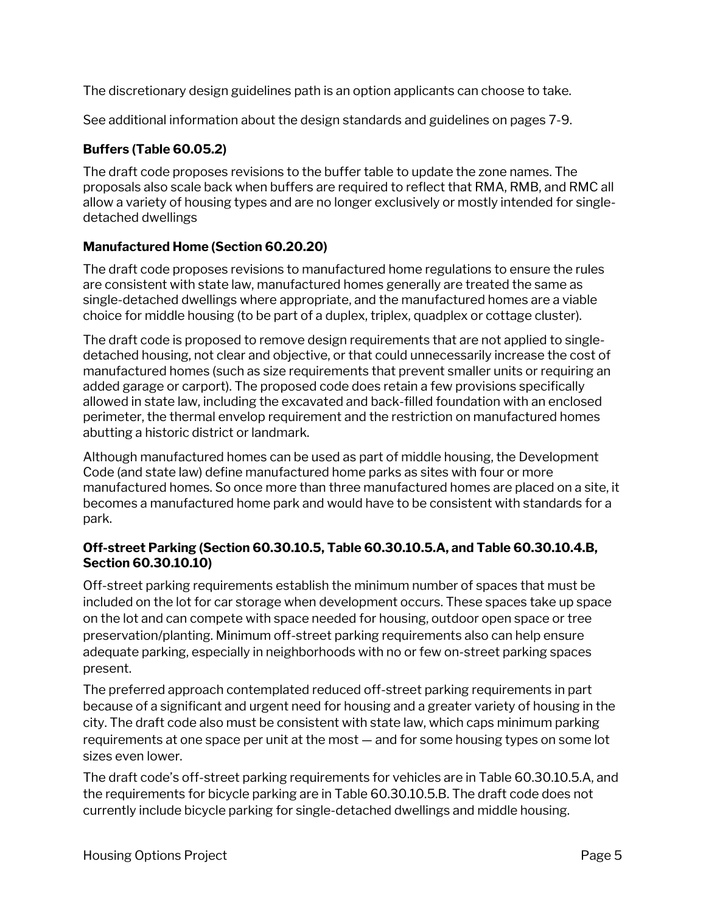The discretionary design guidelines path is an option applicants can choose to take.

See additional information about the design standards and guidelines on pages 7-9.

## **Buffers (Table 60.05.2)**

The draft code proposes revisions to the buffer table to update the zone names. The proposals also scale back when buffers are required to reflect that RMA, RMB, and RMC all allow a variety of housing types and are no longer exclusively or mostly intended for singledetached dwellings

#### **Manufactured Home (Section 60.20.20)**

The draft code proposes revisions to manufactured home regulations to ensure the rules are consistent with state law, manufactured homes generally are treated the same as single-detached dwellings where appropriate, and the manufactured homes are a viable choice for middle housing (to be part of a duplex, triplex, quadplex or cottage cluster).

The draft code is proposed to remove design requirements that are not applied to singledetached housing, not clear and objective, or that could unnecessarily increase the cost of manufactured homes (such as size requirements that prevent smaller units or requiring an added garage or carport). The proposed code does retain a few provisions specifically allowed in state law, including the excavated and back-filled foundation with an enclosed perimeter, the thermal envelop requirement and the restriction on manufactured homes abutting a historic district or landmark.

Although manufactured homes can be used as part of middle housing, the Development Code (and state law) define manufactured home parks as sites with four or more manufactured homes. So once more than three manufactured homes are placed on a site, it becomes a manufactured home park and would have to be consistent with standards for a park.

#### **Off-street Parking (Section 60.30.10.5, Table 60.30.10.5.A, and Table 60.30.10.4.B, Section 60.30.10.10)**

Off-street parking requirements establish the minimum number of spaces that must be included on the lot for car storage when development occurs. These spaces take up space on the lot and can compete with space needed for housing, outdoor open space or tree preservation/planting. Minimum off-street parking requirements also can help ensure adequate parking, especially in neighborhoods with no or few on-street parking spaces present.

The preferred approach contemplated reduced off-street parking requirements in part because of a significant and urgent need for housing and a greater variety of housing in the city. The draft code also must be consistent with state law, which caps minimum parking requirements at one space per unit at the most — and for some housing types on some lot sizes even lower.

The draft code's off-street parking requirements for vehicles are in Table 60.30.10.5.A, and the requirements for bicycle parking are in Table 60.30.10.5.B. The draft code does not currently include bicycle parking for single-detached dwellings and middle housing.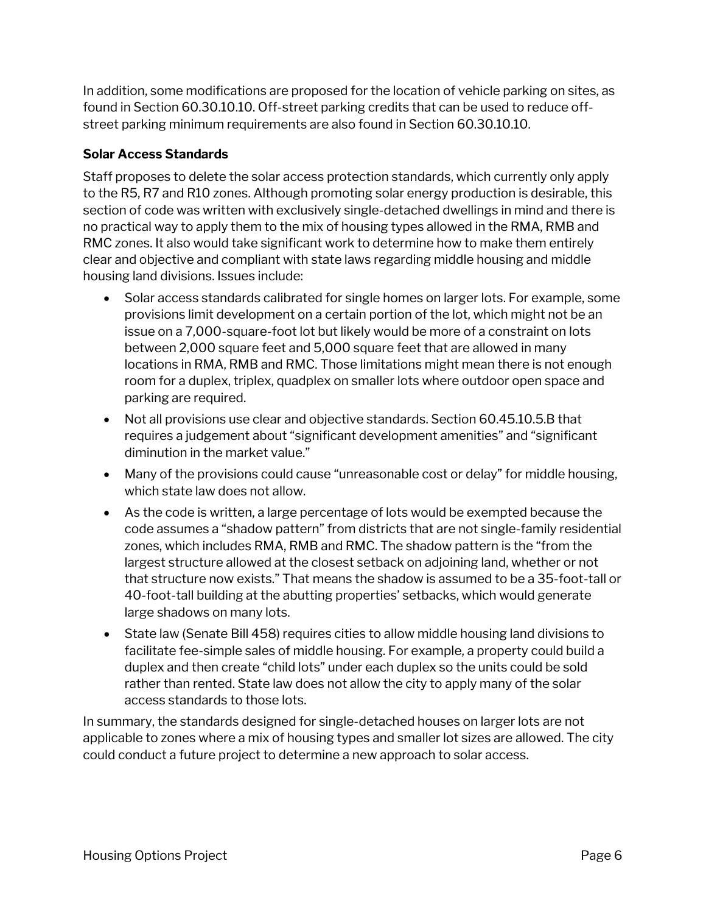In addition, some modifications are proposed for the location of vehicle parking on sites, as found in Section 60.30.10.10. Off-street parking credits that can be used to reduce offstreet parking minimum requirements are also found in Section 60.30.10.10.

### **Solar Access Standards**

Staff proposes to delete the solar access protection standards, which currently only apply to the R5, R7 and R10 zones. Although promoting solar energy production is desirable, this section of code was written with exclusively single-detached dwellings in mind and there is no practical way to apply them to the mix of housing types allowed in the RMA, RMB and RMC zones. It also would take significant work to determine how to make them entirely clear and objective and compliant with state laws regarding middle housing and middle housing land divisions. Issues include:

- Solar access standards calibrated for single homes on larger lots. For example, some provisions limit development on a certain portion of the lot, which might not be an issue on a 7,000-square-foot lot but likely would be more of a constraint on lots between 2,000 square feet and 5,000 square feet that are allowed in many locations in RMA, RMB and RMC. Those limitations might mean there is not enough room for a duplex, triplex, quadplex on smaller lots where outdoor open space and parking are required.
- Not all provisions use clear and objective standards. Section 60.45.10.5.B that requires a judgement about "significant development amenities" and "significant diminution in the market value."
- Many of the provisions could cause "unreasonable cost or delay" for middle housing, which state law does not allow.
- As the code is written, a large percentage of lots would be exempted because the code assumes a "shadow pattern" from districts that are not single-family residential zones, which includes RMA, RMB and RMC. The shadow pattern is the "from the largest structure allowed at the closest setback on adjoining land, whether or not that structure now exists." That means the shadow is assumed to be a 35-foot-tall or 40-foot-tall building at the abutting properties' setbacks, which would generate large shadows on many lots.
- State law (Senate Bill 458) requires cities to allow middle housing land divisions to facilitate fee-simple sales of middle housing. For example, a property could build a duplex and then create "child lots" under each duplex so the units could be sold rather than rented. State law does not allow the city to apply many of the solar access standards to those lots.

In summary, the standards designed for single-detached houses on larger lots are not applicable to zones where a mix of housing types and smaller lot sizes are allowed. The city could conduct a future project to determine a new approach to solar access.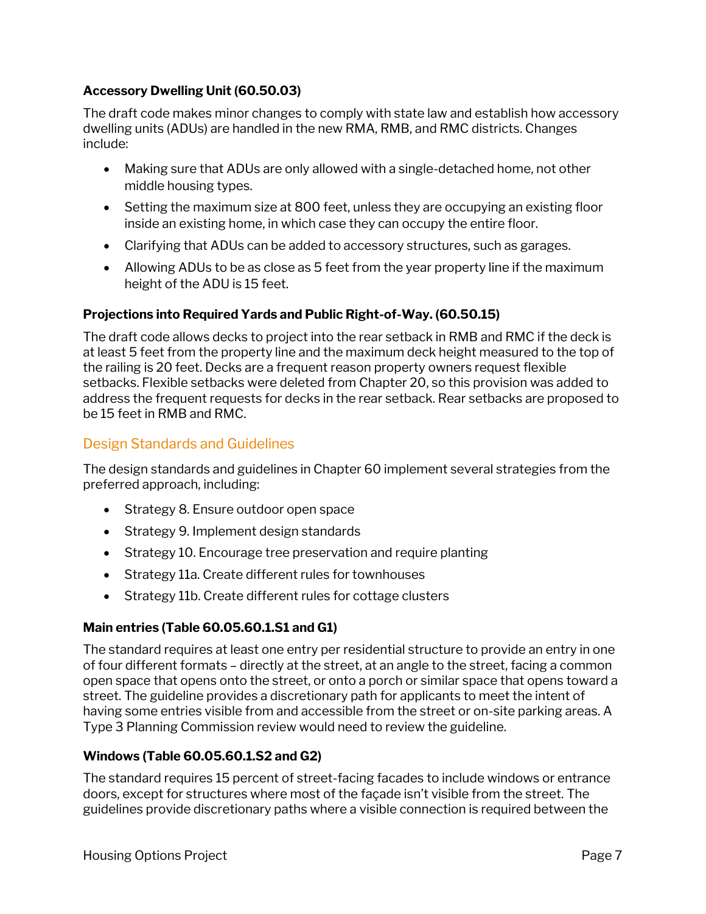#### **Accessory Dwelling Unit (60.50.03)**

The draft code makes minor changes to comply with state law and establish how accessory dwelling units (ADUs) are handled in the new RMA, RMB, and RMC districts. Changes include:

- Making sure that ADUs are only allowed with a single-detached home, not other middle housing types.
- Setting the maximum size at 800 feet, unless they are occupying an existing floor inside an existing home, in which case they can occupy the entire floor.
- Clarifying that ADUs can be added to accessory structures, such as garages.
- Allowing ADUs to be as close as 5 feet from the year property line if the maximum height of the ADU is 15 feet.

## **Projections into Required Yards and Public Right-of-Way. (60.50.15)**

The draft code allows decks to project into the rear setback in RMB and RMC if the deck is at least 5 feet from the property line and the maximum deck height measured to the top of the railing is 20 feet. Decks are a frequent reason property owners request flexible setbacks. Flexible setbacks were deleted from Chapter 20, so this provision was added to address the frequent requests for decks in the rear setback. Rear setbacks are proposed to be 15 feet in RMB and RMC.

## Design Standards and Guidelines

The design standards and guidelines in Chapter 60 implement several strategies from the preferred approach, including:

- Strategy 8. Ensure outdoor open space
- Strategy 9. Implement design standards
- Strategy 10. Encourage tree preservation and require planting
- Strategy 11a. Create different rules for townhouses
- Strategy 11b. Create different rules for cottage clusters

#### **Main entries (Table 60.05.60.1.S1 and G1)**

The standard requires at least one entry per residential structure to provide an entry in one of four different formats – directly at the street, at an angle to the street, facing a common open space that opens onto the street, or onto a porch or similar space that opens toward a street. The guideline provides a discretionary path for applicants to meet the intent of having some entries visible from and accessible from the street or on-site parking areas. A Type 3 Planning Commission review would need to review the guideline.

## **Windows (Table 60.05.60.1.S2 and G2)**

The standard requires 15 percent of street-facing facades to include windows or entrance doors, except for structures where most of the façade isn't visible from the street. The guidelines provide discretionary paths where a visible connection is required between the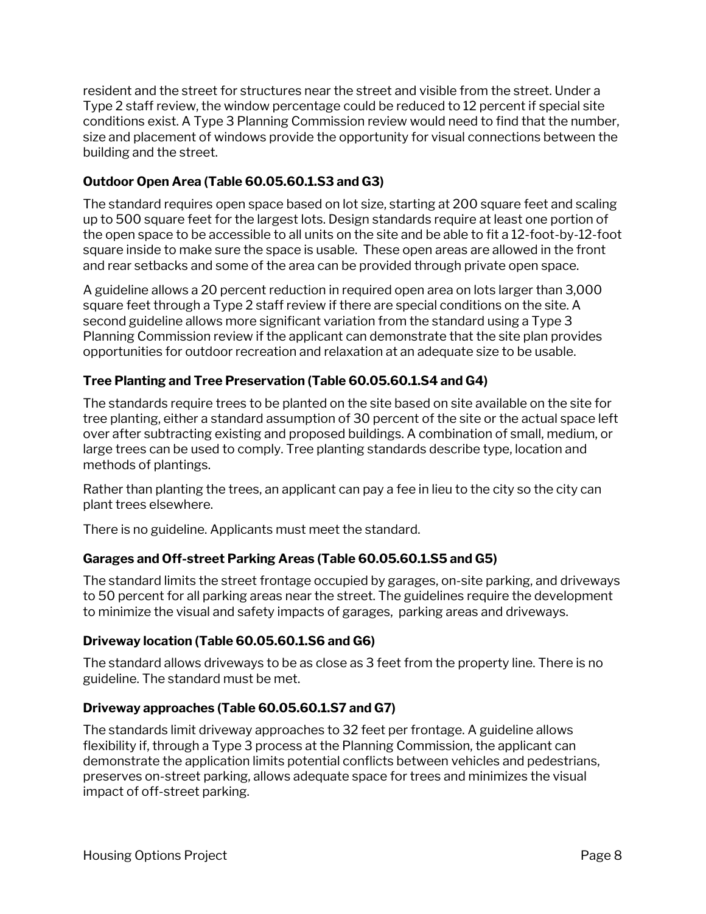resident and the street for structures near the street and visible from the street. Under a Type 2 staff review, the window percentage could be reduced to 12 percent if special site conditions exist. A Type 3 Planning Commission review would need to find that the number, size and placement of windows provide the opportunity for visual connections between the building and the street.

#### **Outdoor Open Area (Table 60.05.60.1.S3 and G3)**

The standard requires open space based on lot size, starting at 200 square feet and scaling up to 500 square feet for the largest lots. Design standards require at least one portion of the open space to be accessible to all units on the site and be able to fit a 12-foot-by-12-foot square inside to make sure the space is usable. These open areas are allowed in the front and rear setbacks and some of the area can be provided through private open space.

A guideline allows a 20 percent reduction in required open area on lots larger than 3,000 square feet through a Type 2 staff review if there are special conditions on the site. A second guideline allows more significant variation from the standard using a Type 3 Planning Commission review if the applicant can demonstrate that the site plan provides opportunities for outdoor recreation and relaxation at an adequate size to be usable.

## **Tree Planting and Tree Preservation (Table 60.05.60.1.S4 and G4)**

The standards require trees to be planted on the site based on site available on the site for tree planting, either a standard assumption of 30 percent of the site or the actual space left over after subtracting existing and proposed buildings. A combination of small, medium, or large trees can be used to comply. Tree planting standards describe type, location and methods of plantings.

Rather than planting the trees, an applicant can pay a fee in lieu to the city so the city can plant trees elsewhere.

There is no guideline. Applicants must meet the standard.

#### **Garages and Off-street Parking Areas (Table 60.05.60.1.S5 and G5)**

The standard limits the street frontage occupied by garages, on-site parking, and driveways to 50 percent for all parking areas near the street. The guidelines require the development to minimize the visual and safety impacts of garages, parking areas and driveways.

#### **Driveway location (Table 60.05.60.1.S6 and G6)**

The standard allows driveways to be as close as 3 feet from the property line. There is no guideline. The standard must be met.

#### **Driveway approaches (Table 60.05.60.1.S7 and G7)**

The standards limit driveway approaches to 32 feet per frontage. A guideline allows flexibility if, through a Type 3 process at the Planning Commission, the applicant can demonstrate the application limits potential conflicts between vehicles and pedestrians, preserves on-street parking, allows adequate space for trees and minimizes the visual impact of off-street parking.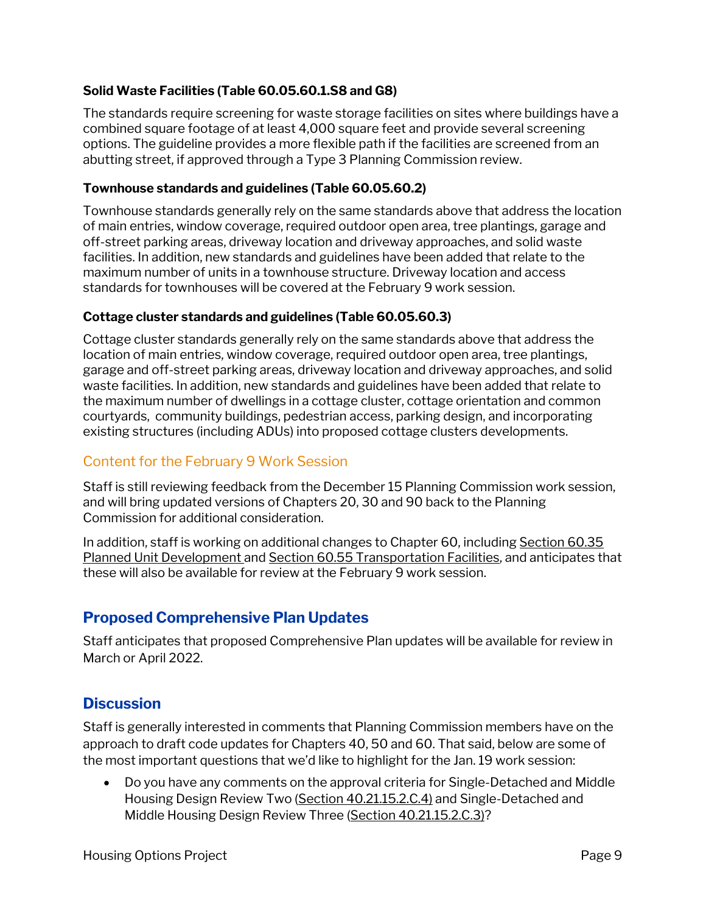#### **Solid Waste Facilities (Table 60.05.60.1.S8 and G8)**

The standards require screening for waste storage facilities on sites where buildings have a combined square footage of at least 4,000 square feet and provide several screening options. The guideline provides a more flexible path if the facilities are screened from an abutting street, if approved through a Type 3 Planning Commission review.

#### **Townhouse standards and guidelines (Table 60.05.60.2)**

Townhouse standards generally rely on the same standards above that address the location of main entries, window coverage, required outdoor open area, tree plantings, garage and off-street parking areas, driveway location and driveway approaches, and solid waste facilities. In addition, new standards and guidelines have been added that relate to the maximum number of units in a townhouse structure. Driveway location and access standards for townhouses will be covered at the February 9 work session.

#### **Cottage cluster standards and guidelines (Table 60.05.60.3)**

Cottage cluster standards generally rely on the same standards above that address the location of main entries, window coverage, required outdoor open area, tree plantings, garage and off-street parking areas, driveway location and driveway approaches, and solid waste facilities. In addition, new standards and guidelines have been added that relate to the maximum number of dwellings in a cottage cluster, cottage orientation and common courtyards, community buildings, pedestrian access, parking design, and incorporating existing structures (including ADUs) into proposed cottage clusters developments.

## Content for the February 9 Work Session

Staff is still reviewing feedback from the December 15 Planning Commission work session, and will bring updated versions of Chapters 20, 30 and 90 back to the Planning Commission for additional consideration.

In addition, staff is working on additional changes to Chapter 60, including Section 60.35 Planned Unit Development and Section 60.55 Transportation Facilities, and anticipates that these will also be available for review at the February 9 work session.

# **Proposed Comprehensive Plan Updates**

Staff anticipates that proposed Comprehensive Plan updates will be available for review in March or April 2022.

## **Discussion**

Staff is generally interested in comments that Planning Commission members have on the approach to draft code updates for Chapters 40, 50 and 60. That said, below are some of the most important questions that we'd like to highlight for the Jan. 19 work session:

• Do you have any comments on the approval criteria for Single-Detached and Middle Housing Design Review Two (Section 40.21.15.2.C.4) and Single-Detached and Middle Housing Design Review Three (Section 40.21.15.2.C.3)?